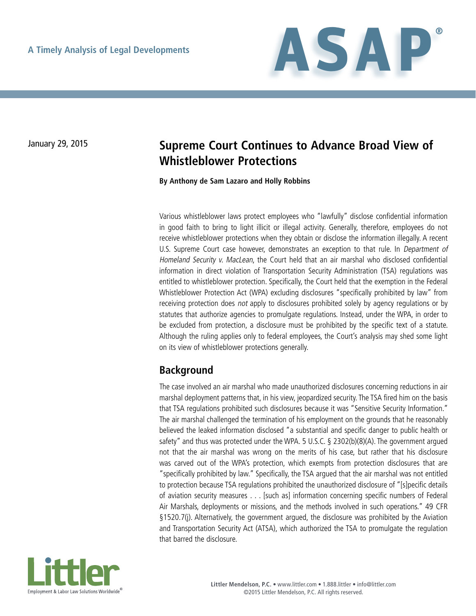

# January 29, 2015 **Supreme Court Continues to Advance Broad View of Whistleblower Protections**

#### **By Anthony de Sam Lazaro and Holly Robbins**

Various whistleblower laws protect employees who "lawfully" disclose confidential information in good faith to bring to light illicit or illegal activity. Generally, therefore, employees do not receive whistleblower protections when they obtain or disclose the information illegally. A recent U.S. Supreme Court case however, demonstrates an exception to that rule. In Department of Homeland Security v. MacLean, the Court held that an air marshal who disclosed confidential information in direct violation of Transportation Security Administration (TSA) regulations was entitled to whistleblower protection. Specifically, the Court held that the exemption in the Federal Whistleblower Protection Act (WPA) excluding disclosures "specifically prohibited by law" from receiving protection does not apply to disclosures prohibited solely by agency regulations or by statutes that authorize agencies to promulgate regulations. Instead, under the WPA, in order to be excluded from protection, a disclosure must be prohibited by the specific text of a statute. Although the ruling applies only to federal employees, the Court's analysis may shed some light on its view of whistleblower protections generally.

#### **Background**

The case involved an air marshal who made unauthorized disclosures concerning reductions in air marshal deployment patterns that, in his view, jeopardized security. The TSA fired him on the basis that TSA regulations prohibited such disclosures because it was "Sensitive Security Information." The air marshal challenged the termination of his employment on the grounds that he reasonably believed the leaked information disclosed "a substantial and specific danger to public health or safety" and thus was protected under the WPA. 5 U.S.C. § 2302(b)(8)(A). The government argued not that the air marshal was wrong on the merits of his case, but rather that his disclosure was carved out of the WPA's protection, which exempts from protection disclosures that are "specifically prohibited by law." Specifically, the TSA argued that the air marshal was not entitled to protection because TSA regulations prohibited the unauthorized disclosure of "[s]pecific details of aviation security measures . . . [such as] information concerning specific numbers of Federal Air Marshals, deployments or missions, and the methods involved in such operations." 49 CFR §1520.7(j). Alternatively, the government argued, the disclosure was prohibited by the Aviation and Transportation Security Act (ATSA), which authorized the TSA to promulgate the regulation that barred the disclosure.

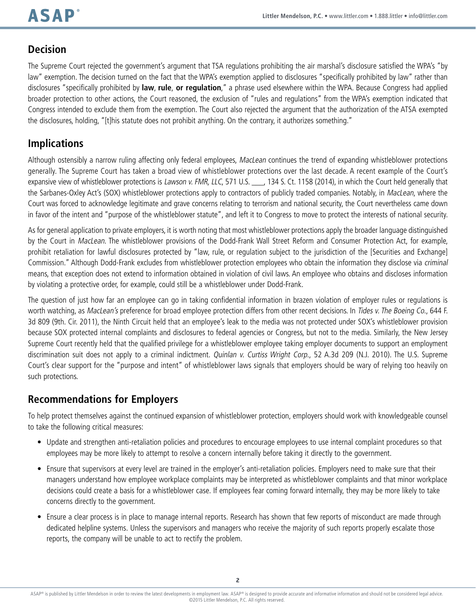#### **Decision**

The Supreme Court rejected the government's argument that TSA regulations prohibiting the air marshal's disclosure satisfied the WPA's "by law" exemption. The decision turned on the fact that the WPA's exemption applied to disclosures "specifically prohibited by law" rather than disclosures "specifically prohibited by **law**, **rule**, **or regulation**," a phrase used elsewhere within the WPA. Because Congress had applied broader protection to other actions, the Court reasoned, the exclusion of "rules and regulations" from the WPA's exemption indicated that Congress intended to exclude them from the exemption. The Court also rejected the argument that the authorization of the ATSA exempted the disclosures, holding, "[t]his statute does not prohibit anything. On the contrary, it authorizes something."

## **Implications**

Although ostensibly a narrow ruling affecting only federal employees, MacLean continues the trend of expanding whistleblower protections generally. The Supreme Court has taken a broad view of whistleblower protections over the last decade. A recent example of the Court's expansive view of whistleblower protections is Lawson v. FMR, LLC, 571 U.S. \_\_\_, 134 S. Ct. 1158 (2014), in which the Court held generally that the Sarbanes-Oxley Act's (SOX) whistleblower protections apply to contractors of publicly traded companies. Notably, in MacLean, where the Court was forced to acknowledge legitimate and grave concerns relating to terrorism and national security, the Court nevertheless came down in favor of the intent and "purpose of the whistleblower statute", and left it to Congress to move to protect the interests of national security.

As for general application to private employers, it is worth noting that most whistleblower protections apply the broader language distinguished by the Court in MacLean. The whistleblower provisions of the Dodd-Frank Wall Street Reform and Consumer Protection Act, for example, prohibit retaliation for lawful disclosures protected by "law, rule, or regulation subject to the jurisdiction of the [Securities and Exchange] Commission." Although Dodd-Frank excludes from whistleblower protection employees who obtain the information they disclose via criminal means, that exception does not extend to information obtained in violation of civil laws. An employee who obtains and discloses information by violating a protective order, for example, could still be a whistleblower under Dodd-Frank.

The question of just how far an employee can go in taking confidential information in brazen violation of employer rules or regulations is worth watching, as MacLean's preference for broad employee protection differs from other recent decisions. In Tides v. The Boeing Co., 644 F. 3d 809 (9th. Cir. 2011), the Ninth Circuit held that an employee's leak to the media was not protected under SOX's whistleblower provision because SOX protected internal complaints and disclosures to federal agencies or Congress, but not to the media. Similarly, the New Jersey Supreme Court recently held that the qualified privilege for a whistleblower employee taking employer documents to support an employment discrimination suit does not apply to a criminal indictment. *Quinlan v. Curtiss Wright Corp.*, 52 A.3d 209 (N.J. 2010). The U.S. Supreme Court's clear support for the "purpose and intent" of whistleblower laws signals that employers should be wary of relying too heavily on such protections.

### **Recommendations for Employers**

To help protect themselves against the continued expansion of whistleblower protection, employers should work with knowledgeable counsel to take the following critical measures:

- • Update and strengthen anti-retaliation policies and procedures to encourage employees to use internal complaint procedures so that employees may be more likely to attempt to resolve a concern internally before taking it directly to the government.
- Ensure that supervisors at every level are trained in the employer's anti-retaliation policies. Employers need to make sure that their managers understand how employee workplace complaints may be interpreted as whistleblower complaints and that minor workplace decisions could create a basis for a whistleblower case. If employees fear coming forward internally, they may be more likely to take concerns directly to the government.
- Ensure a clear process is in place to manage internal reports. Research has shown that few reports of misconduct are made through dedicated helpline systems. Unless the supervisors and managers who receive the majority of such reports properly escalate those reports, the company will be unable to act to rectify the problem.